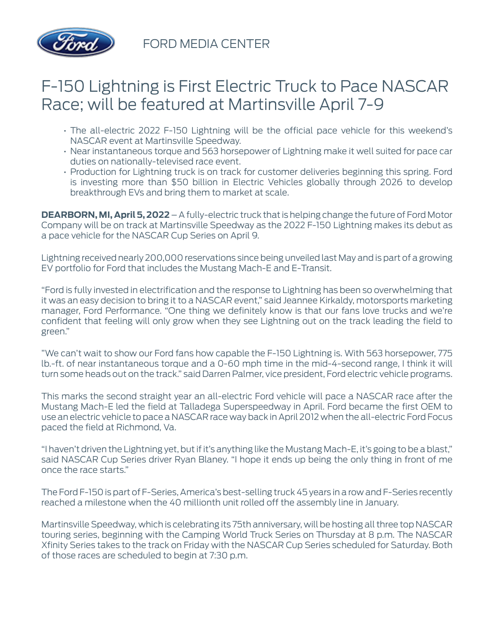

FORD MEDIA CENTER

## F-150 Lightning is First Electric Truck to Pace NASCAR Race; will be featured at Martinsville April 7-9

- The all-electric 2022 F-150 Lightning will be the official pace vehicle for this weekend's NASCAR event at Martinsville Speedway.
- Near instantaneous torque and 563 horsepower of Lightning make it well suited for pace car duties on nationally-televised race event.
- Production for Lightning truck is on track for customer deliveries beginning this spring. Ford is investing more than \$50 billion in Electric Vehicles globally through 2026 to develop breakthrough EVs and bring them to market at scale.

**DEARBORN, MI, April 5, 2022** – A fully-electric truck that is helping change the future of Ford Motor Company will be on track at Martinsville Speedway as the 2022 F-150 Lightning makes its debut as a pace vehicle for the NASCAR Cup Series on April 9.

Lightning received nearly 200,000 reservations since being unveiled last May and is part of a growing EV portfolio for Ford that includes the Mustang Mach-E and E-Transit.

"Ford is fully invested in electrification and the response to Lightning has been so overwhelming that it was an easy decision to bring it to a NASCAR event," said Jeannee Kirkaldy, motorsports marketing manager, Ford Performance. "One thing we definitely know is that our fans love trucks and we're confident that feeling will only grow when they see Lightning out on the track leading the field to green."

"We can't wait to show our Ford fans how capable the F-150 Lightning is. With 563 horsepower, 775 lb.-ft. of near instantaneous torque and a 0-60 mph time in the mid-4-second range, I think it will turn some heads out on the track." said Darren Palmer, vice president, Ford electric vehicle programs.

This marks the second straight year an all-electric Ford vehicle will pace a NASCAR race after the Mustang Mach-E led the field at Talladega Superspeedway in April. Ford became the first OEM to use an electric vehicle to pace a NASCAR race way back in April 2012 when the all-electric Ford Focus paced the field at Richmond, Va.

"I haven't driven the Lightning yet, but if it's anything like the Mustang Mach-E, it's going to be a blast," said NASCAR Cup Series driver Ryan Blaney. "I hope it ends up being the only thing in front of me once the race starts."

The Ford F-150 is part of F-Series, America's best-selling truck 45 years in a row and F-Series recently reached a milestone when the 40 millionth unit rolled off the assembly line in January.

Martinsville Speedway, which is celebrating its 75th anniversary, will be hosting all three top NASCAR touring series, beginning with the Camping World Truck Series on Thursday at 8 p.m. The NASCAR Xfinity Series takes to the track on Friday with the NASCAR Cup Series scheduled for Saturday. Both of those races are scheduled to begin at 7:30 p.m.